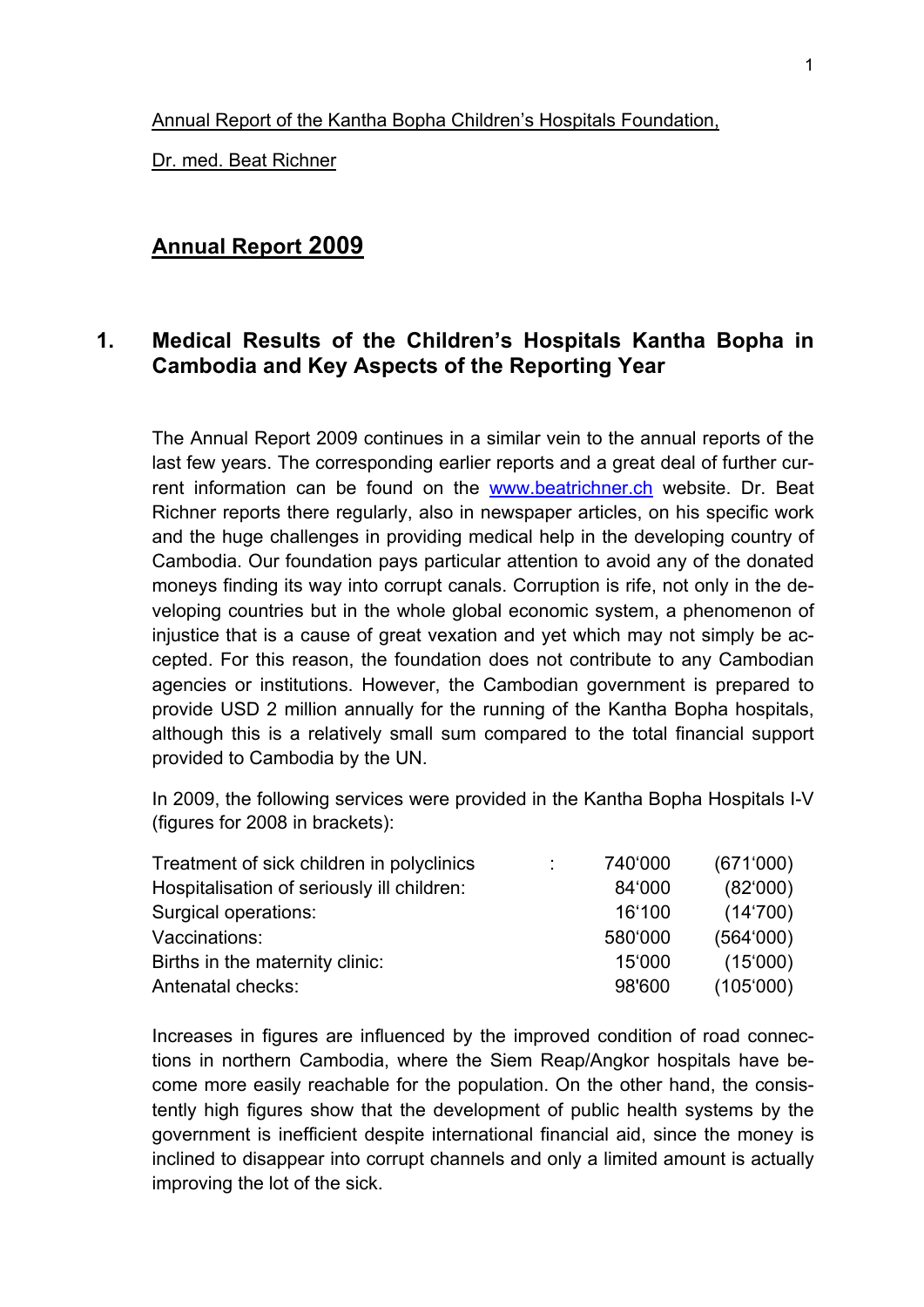#### Annual Report of the Kantha Bopha Children's Hospitals Foundation,

Dr. med. Beat Richner

### **Annual Report 2009**

## **1. Medical Results of the Children's Hospitals Kantha Bopha in Cambodia and Key Aspects of the Reporting Year**

The Annual Report 2009 continues in a similar vein to the annual reports of the last few years. The corresponding earlier reports and a great deal of further current information can be found on the www.beatrichner.ch website. Dr. Beat Richner reports there regularly, also in newspaper articles, on his specific work and the huge challenges in providing medical help in the developing country of Cambodia. Our foundation pays particular attention to avoid any of the donated moneys finding its way into corrupt canals. Corruption is rife, not only in the developing countries but in the whole global economic system, a phenomenon of injustice that is a cause of great vexation and yet which may not simply be accepted. For this reason, the foundation does not contribute to any Cambodian agencies or institutions. However, the Cambodian government is prepared to provide USD 2 million annually for the running of the Kantha Bopha hospitals, although this is a relatively small sum compared to the total financial support provided to Cambodia by the UN.

In 2009, the following services were provided in the Kantha Bopha Hospitals I-V (figures for 2008 in brackets):

| Treatment of sick children in polyclinics  | 740'000 | (671'000) |
|--------------------------------------------|---------|-----------|
| Hospitalisation of seriously ill children: | 84'000  | (82'000)  |
| Surgical operations:                       | 16'100  | (14'700)  |
| Vaccinations:                              | 580'000 | (564'000) |
| Births in the maternity clinic:            | 15'000  | (15'000)  |
| Antenatal checks:                          | 98'600  | (105'000) |

Increases in figures are influenced by the improved condition of road connections in northern Cambodia, where the Siem Reap/Angkor hospitals have become more easily reachable for the population. On the other hand, the consistently high figures show that the development of public health systems by the government is inefficient despite international financial aid, since the money is inclined to disappear into corrupt channels and only a limited amount is actually improving the lot of the sick.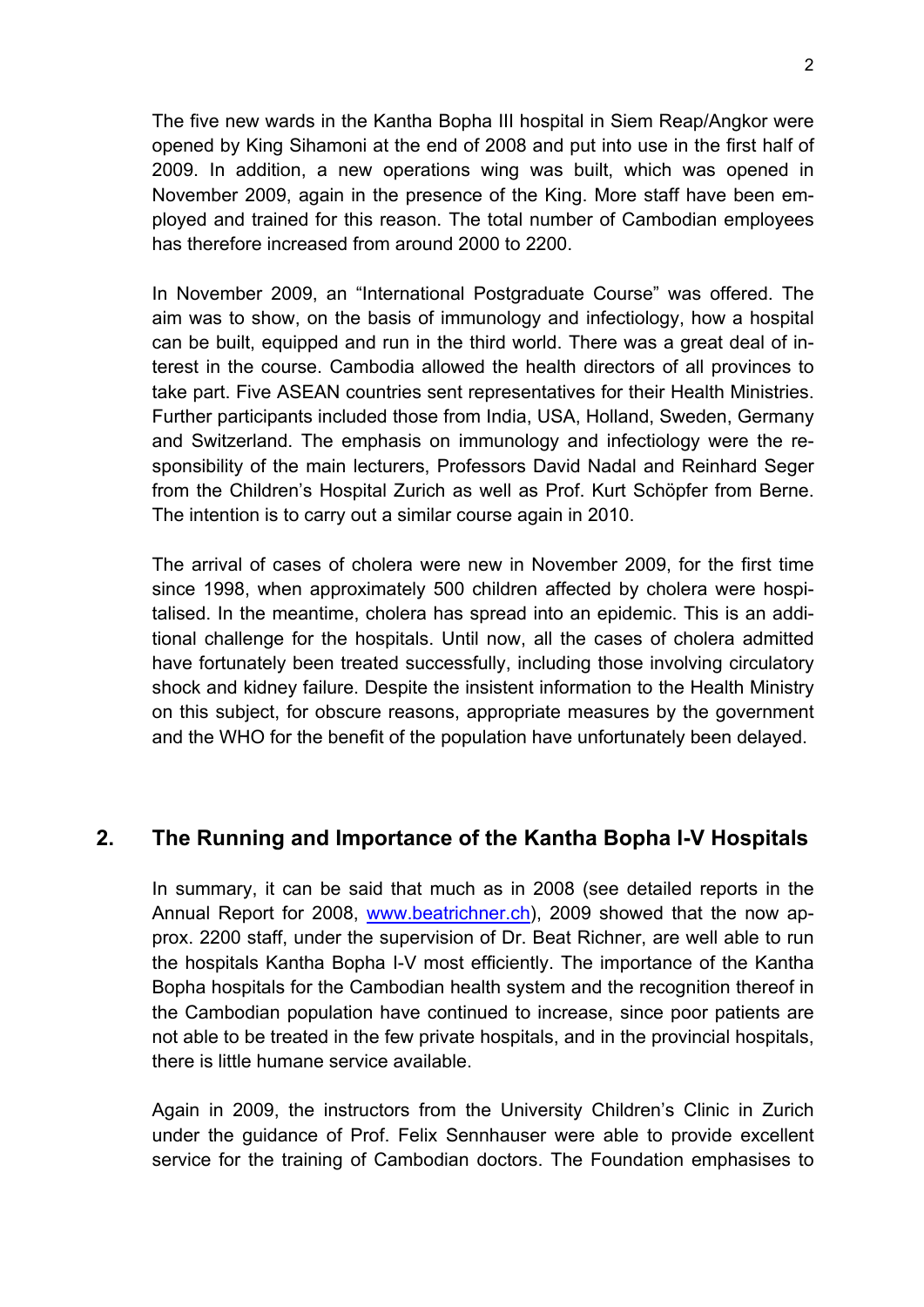The five new wards in the Kantha Bopha III hospital in Siem Reap/Angkor were opened by King Sihamoni at the end of 2008 and put into use in the first half of 2009. In addition, a new operations wing was built, which was opened in November 2009, again in the presence of the King. More staff have been employed and trained for this reason. The total number of Cambodian employees has therefore increased from around 2000 to 2200.

In November 2009, an "International Postgraduate Course" was offered. The aim was to show, on the basis of immunology and infectiology, how a hospital can be built, equipped and run in the third world. There was a great deal of interest in the course. Cambodia allowed the health directors of all provinces to take part. Five ASEAN countries sent representatives for their Health Ministries. Further participants included those from India, USA, Holland, Sweden, Germany and Switzerland. The emphasis on immunology and infectiology were the responsibility of the main lecturers, Professors David Nadal and Reinhard Seger from the Children's Hospital Zurich as well as Prof. Kurt Schöpfer from Berne. The intention is to carry out a similar course again in 2010.

The arrival of cases of cholera were new in November 2009, for the first time since 1998, when approximately 500 children affected by cholera were hospitalised. In the meantime, cholera has spread into an epidemic. This is an additional challenge for the hospitals. Until now, all the cases of cholera admitted have fortunately been treated successfully, including those involving circulatory shock and kidney failure. Despite the insistent information to the Health Ministry on this subject, for obscure reasons, appropriate measures by the government and the WHO for the benefit of the population have unfortunately been delayed.

# **2. The Running and Importance of the Kantha Bopha I-V Hospitals**

In summary, it can be said that much as in 2008 (see detailed reports in the Annual Report for 2008, www.beatrichner.ch), 2009 showed that the now approx. 2200 staff, under the supervision of Dr. Beat Richner, are well able to run the hospitals Kantha Bopha I-V most efficiently. The importance of the Kantha Bopha hospitals for the Cambodian health system and the recognition thereof in the Cambodian population have continued to increase, since poor patients are not able to be treated in the few private hospitals, and in the provincial hospitals, there is little humane service available.

Again in 2009, the instructors from the University Children's Clinic in Zurich under the guidance of Prof. Felix Sennhauser were able to provide excellent service for the training of Cambodian doctors. The Foundation emphasises to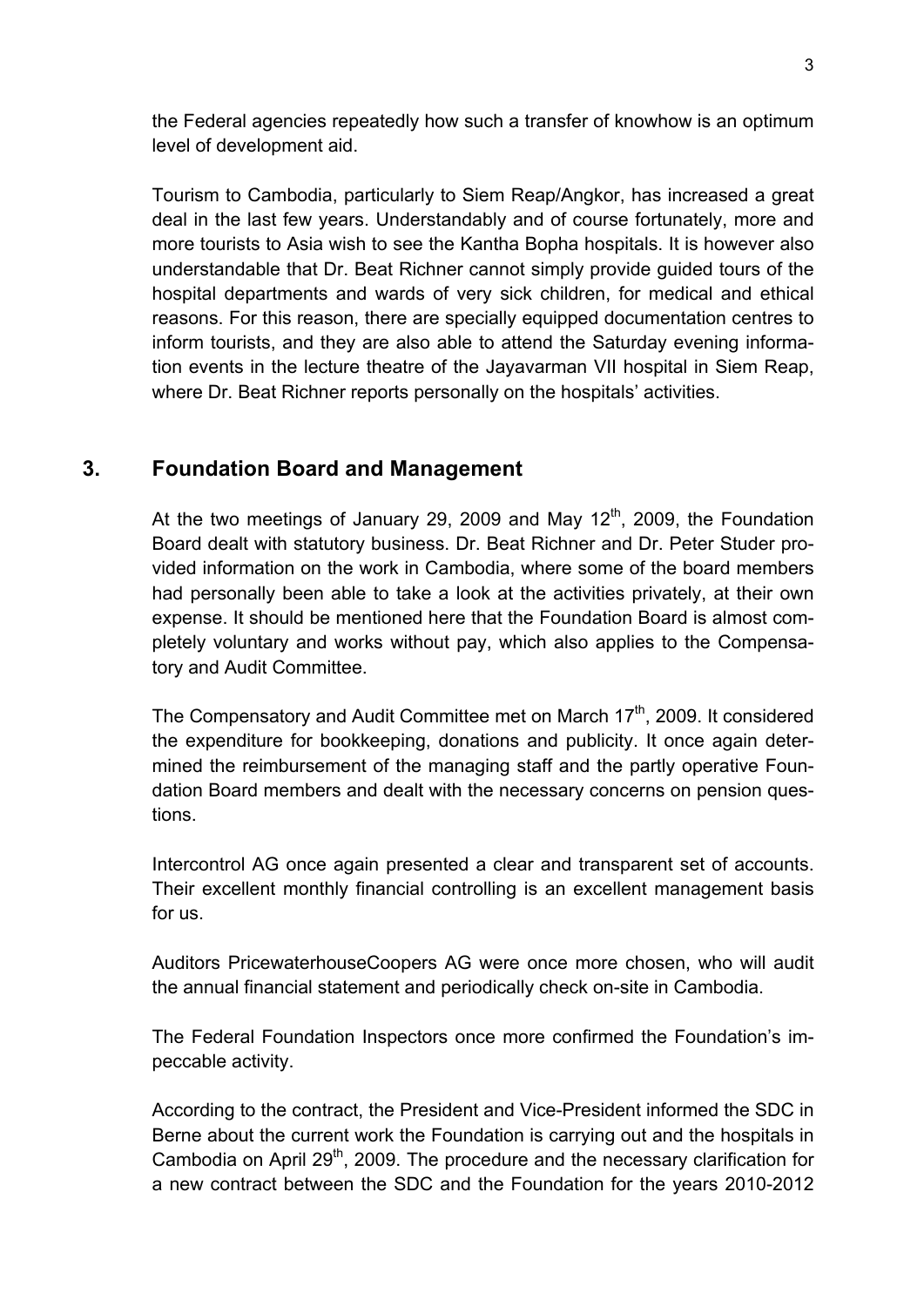the Federal agencies repeatedly how such a transfer of knowhow is an optimum level of development aid.

Tourism to Cambodia, particularly to Siem Reap/Angkor, has increased a great deal in the last few years. Understandably and of course fortunately, more and more tourists to Asia wish to see the Kantha Bopha hospitals. It is however also understandable that Dr. Beat Richner cannot simply provide guided tours of the hospital departments and wards of very sick children, for medical and ethical reasons. For this reason, there are specially equipped documentation centres to inform tourists, and they are also able to attend the Saturday evening information events in the lecture theatre of the Jayavarman VII hospital in Siem Reap, where Dr. Beat Richner reports personally on the hospitals' activities.

# **3. Foundation Board and Management**

At the two meetings of January 29, 2009 and May 12<sup>th</sup>, 2009, the Foundation Board dealt with statutory business. Dr. Beat Richner and Dr. Peter Studer provided information on the work in Cambodia, where some of the board members had personally been able to take a look at the activities privately, at their own expense. It should be mentioned here that the Foundation Board is almost completely voluntary and works without pay, which also applies to the Compensatory and Audit Committee.

The Compensatory and Audit Committee met on March 17<sup>th</sup>, 2009. It considered the expenditure for bookkeeping, donations and publicity. It once again determined the reimbursement of the managing staff and the partly operative Foundation Board members and dealt with the necessary concerns on pension questions.

Intercontrol AG once again presented a clear and transparent set of accounts. Their excellent monthly financial controlling is an excellent management basis for us.

Auditors PricewaterhouseCoopers AG were once more chosen, who will audit the annual financial statement and periodically check on-site in Cambodia.

The Federal Foundation Inspectors once more confirmed the Foundation's impeccable activity.

According to the contract, the President and Vice-President informed the SDC in Berne about the current work the Foundation is carrying out and the hospitals in Cambodia on April 29<sup>th</sup>, 2009. The procedure and the necessary clarification for a new contract between the SDC and the Foundation for the years 2010-2012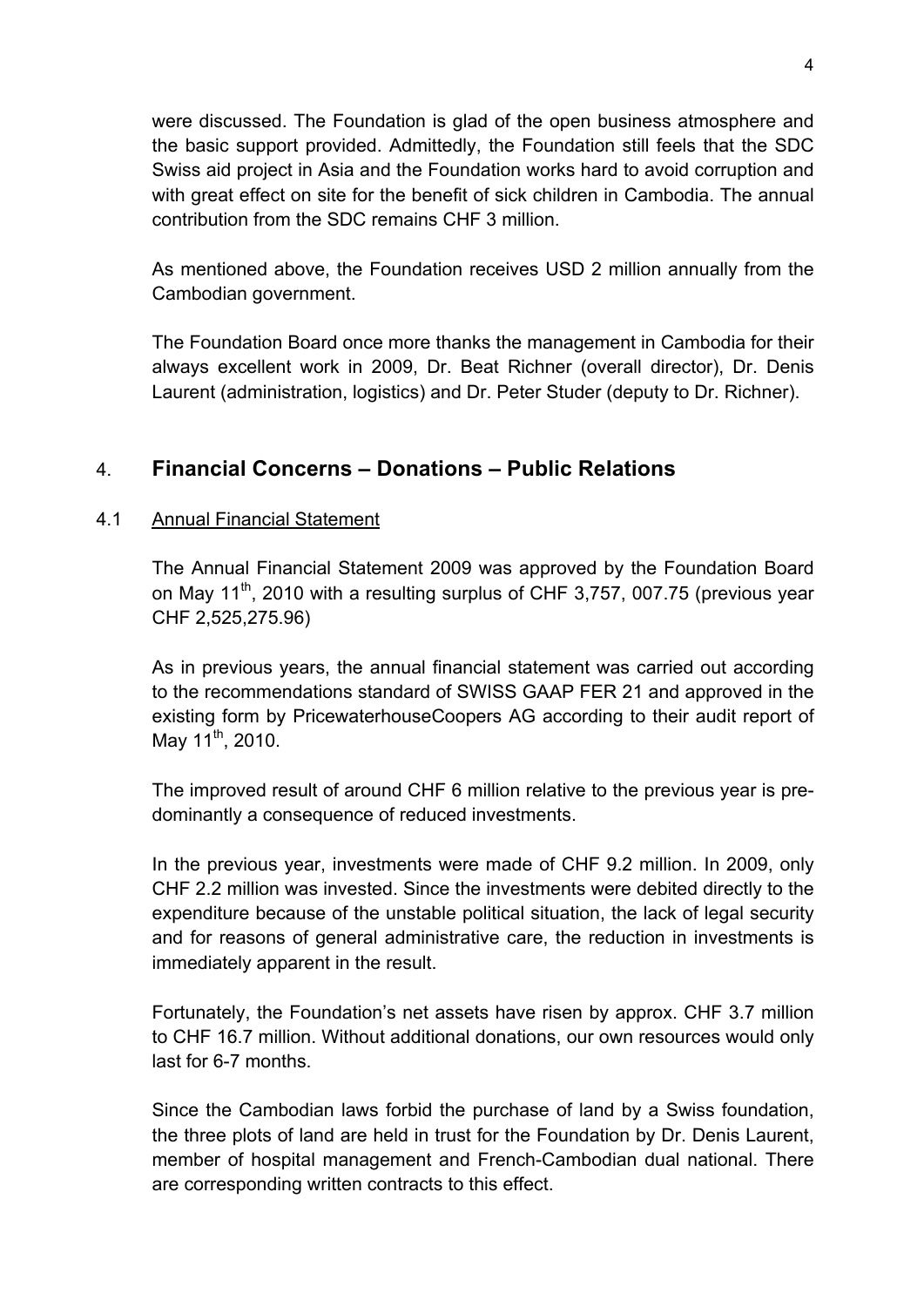were discussed. The Foundation is glad of the open business atmosphere and the basic support provided. Admittedly, the Foundation still feels that the SDC Swiss aid project in Asia and the Foundation works hard to avoid corruption and with great effect on site for the benefit of sick children in Cambodia. The annual contribution from the SDC remains CHF 3 million.

As mentioned above, the Foundation receives USD 2 million annually from the Cambodian government.

The Foundation Board once more thanks the management in Cambodia for their always excellent work in 2009, Dr. Beat Richner (overall director), Dr. Denis Laurent (administration, logistics) and Dr. Peter Studer (deputy to Dr. Richner).

# 4. **Financial Concerns – Donations – Public Relations**

#### 4.1 Annual Financial Statement

The Annual Financial Statement 2009 was approved by the Foundation Board on May 11<sup>th</sup>, 2010 with a resulting surplus of CHF 3,757, 007.75 (previous year CHF 2,525,275.96)

As in previous years, the annual financial statement was carried out according to the recommendations standard of SWISS GAAP FER 21 and approved in the existing form by PricewaterhouseCoopers AG according to their audit report of May  $11^{th}$ , 2010.

The improved result of around CHF 6 million relative to the previous year is predominantly a consequence of reduced investments.

In the previous year, investments were made of CHF 9.2 million. In 2009, only CHF 2.2 million was invested. Since the investments were debited directly to the expenditure because of the unstable political situation, the lack of legal security and for reasons of general administrative care, the reduction in investments is immediately apparent in the result.

Fortunately, the Foundation's net assets have risen by approx. CHF 3.7 million to CHF 16.7 million. Without additional donations, our own resources would only last for 6-7 months.

Since the Cambodian laws forbid the purchase of land by a Swiss foundation, the three plots of land are held in trust for the Foundation by Dr. Denis Laurent, member of hospital management and French-Cambodian dual national. There are corresponding written contracts to this effect.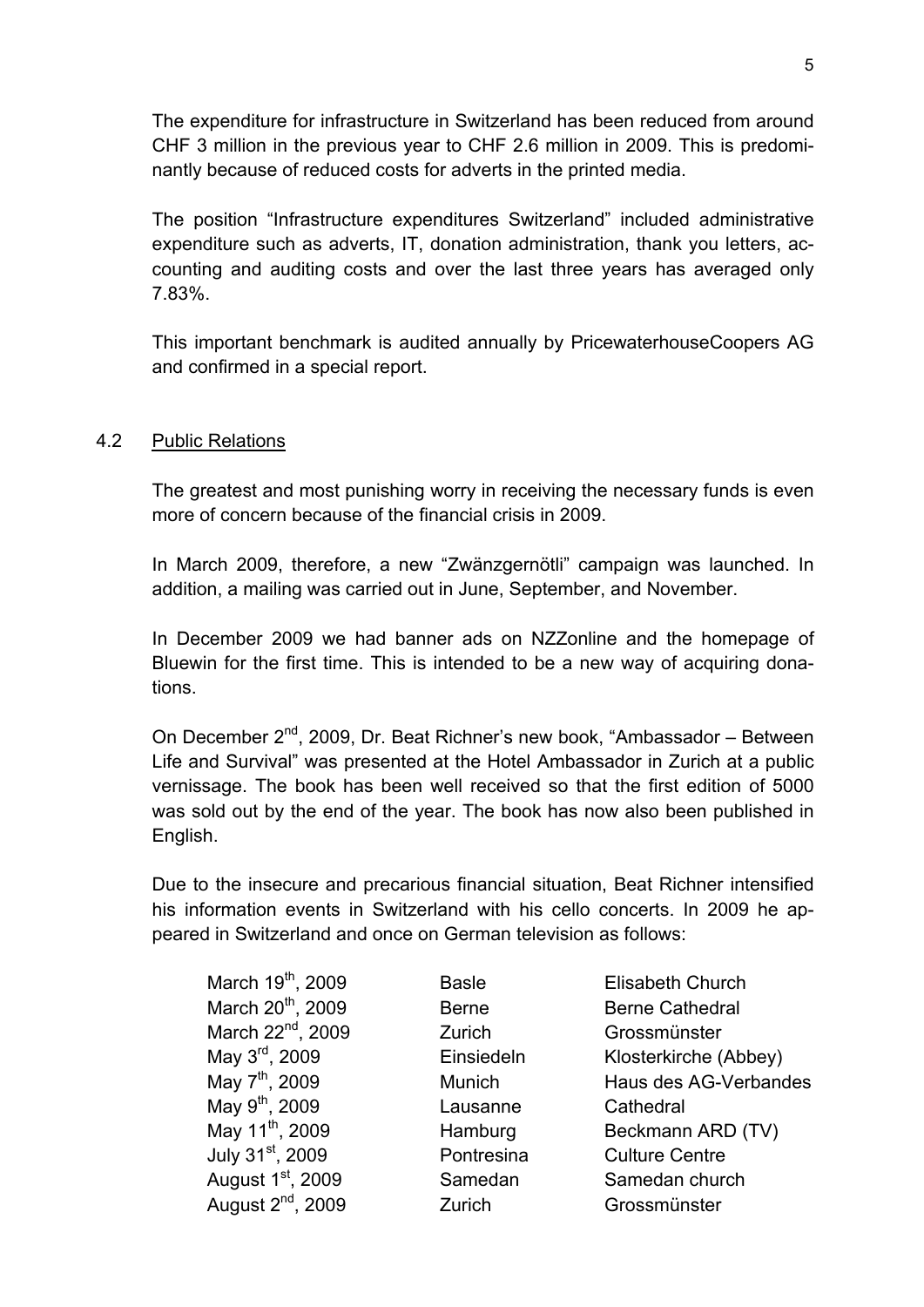The expenditure for infrastructure in Switzerland has been reduced from around CHF 3 million in the previous year to CHF 2.6 million in 2009. This is predominantly because of reduced costs for adverts in the printed media.

The position "Infrastructure expenditures Switzerland" included administrative expenditure such as adverts, IT, donation administration, thank you letters, accounting and auditing costs and over the last three years has averaged only 7.83%.

This important benchmark is audited annually by PricewaterhouseCoopers AG and confirmed in a special report.

#### 4.2 Public Relations

The greatest and most punishing worry in receiving the necessary funds is even more of concern because of the financial crisis in 2009.

In March 2009, therefore, a new "Zwänzgernötli" campaign was launched. In addition, a mailing was carried out in June, September, and November.

In December 2009 we had banner ads on NZZonline and the homepage of Bluewin for the first time. This is intended to be a new way of acquiring donations.

On December 2nd, 2009, Dr. Beat Richner's new book, "Ambassador – Between Life and Survival" was presented at the Hotel Ambassador in Zurich at a public vernissage. The book has been well received so that the first edition of 5000 was sold out by the end of the year. The book has now also been published in English.

Due to the insecure and precarious financial situation, Beat Richner intensified his information events in Switzerland with his cello concerts. In 2009 he appeared in Switzerland and once on German television as follows:

| March 19 <sup>th</sup> , 2009 | <b>Basle</b> | Elisabeth Church       |
|-------------------------------|--------------|------------------------|
| March 20 <sup>th</sup> , 2009 | <b>Berne</b> | <b>Berne Cathedral</b> |
| March 22 <sup>nd</sup> , 2009 | Zurich       | Grossmünster           |
| May 3 <sup>rd</sup> , 2009    | Einsiedeln   | Klosterkirche (Abbey)  |
| May 7 <sup>th</sup> , 2009    | Munich       | Haus des AG-Verbandes  |
| May 9 <sup>th</sup> , 2009    | Lausanne     | Cathedral              |
| May 11 <sup>th</sup> , 2009   | Hamburg      | Beckmann ARD (TV)      |
| July 31st, 2009               | Pontresina   | <b>Culture Centre</b>  |
| August 1st, 2009              | Samedan      | Samedan church         |
| August 2 <sup>nd</sup> , 2009 | Zurich       | Grossmünster           |
|                               |              |                        |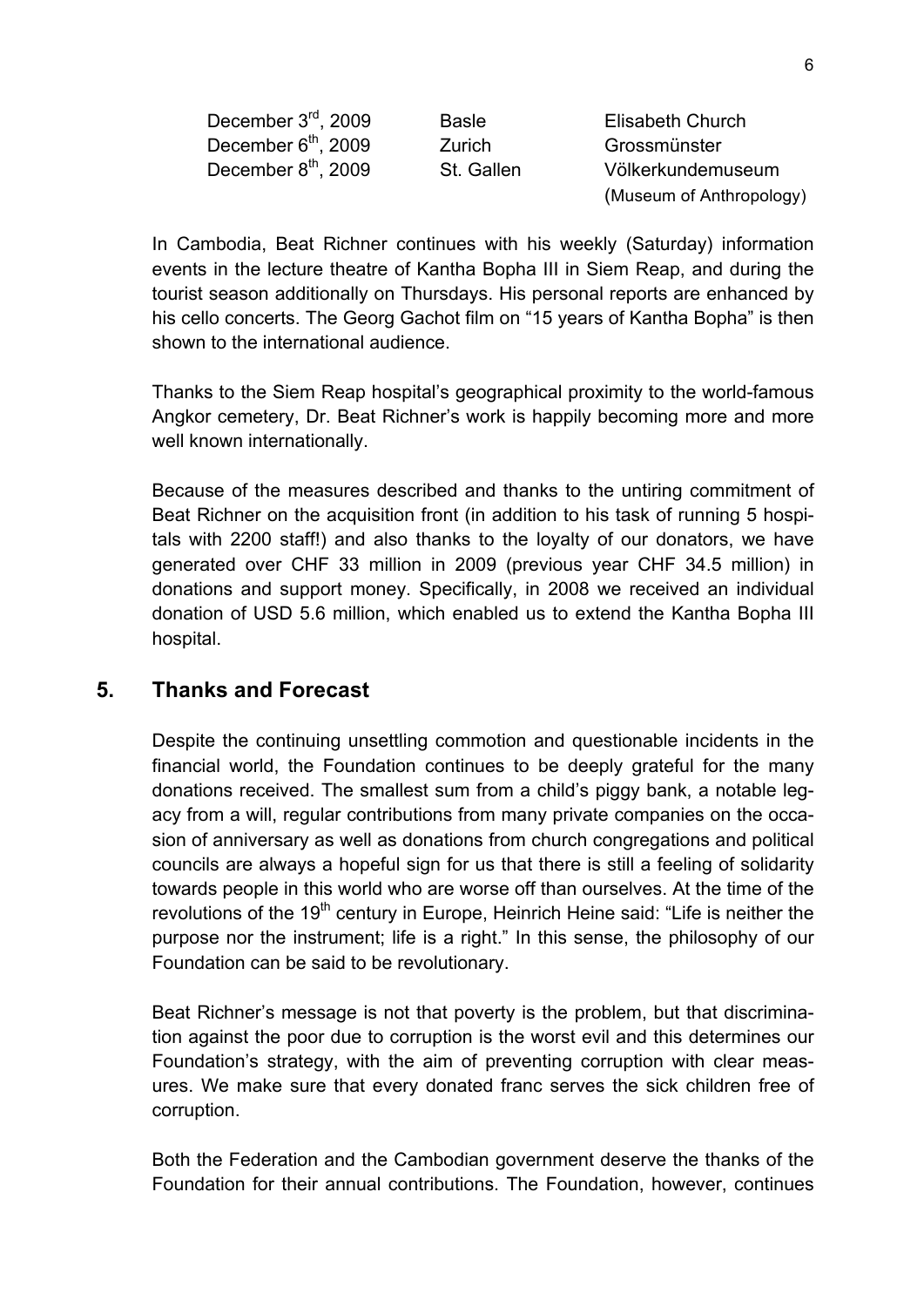| December 3 <sup>rd</sup> , 2009 | <b>Basle</b> | Elisabeth Church         |
|---------------------------------|--------------|--------------------------|
| December 6 <sup>th</sup> , 2009 | Zurich       | Grossmünster             |
| December 8 <sup>th</sup> , 2009 | St. Gallen   | Völkerkundemuseum        |
|                                 |              | (Museum of Anthropology) |

In Cambodia, Beat Richner continues with his weekly (Saturday) information events in the lecture theatre of Kantha Bopha III in Siem Reap, and during the tourist season additionally on Thursdays. His personal reports are enhanced by his cello concerts. The Georg Gachot film on "15 years of Kantha Bopha" is then shown to the international audience.

Thanks to the Siem Reap hospital's geographical proximity to the world-famous Angkor cemetery, Dr. Beat Richner's work is happily becoming more and more well known internationally.

Because of the measures described and thanks to the untiring commitment of Beat Richner on the acquisition front (in addition to his task of running 5 hospitals with 2200 staff!) and also thanks to the loyalty of our donators, we have generated over CHF 33 million in 2009 (previous year CHF 34.5 million) in donations and support money. Specifically, in 2008 we received an individual donation of USD 5.6 million, which enabled us to extend the Kantha Bopha III hospital.

## **5. Thanks and Forecast**

Despite the continuing unsettling commotion and questionable incidents in the financial world, the Foundation continues to be deeply grateful for the many donations received. The smallest sum from a child's piggy bank, a notable legacy from a will, regular contributions from many private companies on the occasion of anniversary as well as donations from church congregations and political councils are always a hopeful sign for us that there is still a feeling of solidarity towards people in this world who are worse off than ourselves. At the time of the revolutions of the  $19<sup>th</sup>$  century in Europe, Heinrich Heine said: "Life is neither the purpose nor the instrument; life is a right." In this sense, the philosophy of our Foundation can be said to be revolutionary.

Beat Richner's message is not that poverty is the problem, but that discrimination against the poor due to corruption is the worst evil and this determines our Foundation's strategy, with the aim of preventing corruption with clear measures. We make sure that every donated franc serves the sick children free of corruption.

Both the Federation and the Cambodian government deserve the thanks of the Foundation for their annual contributions. The Foundation, however, continues